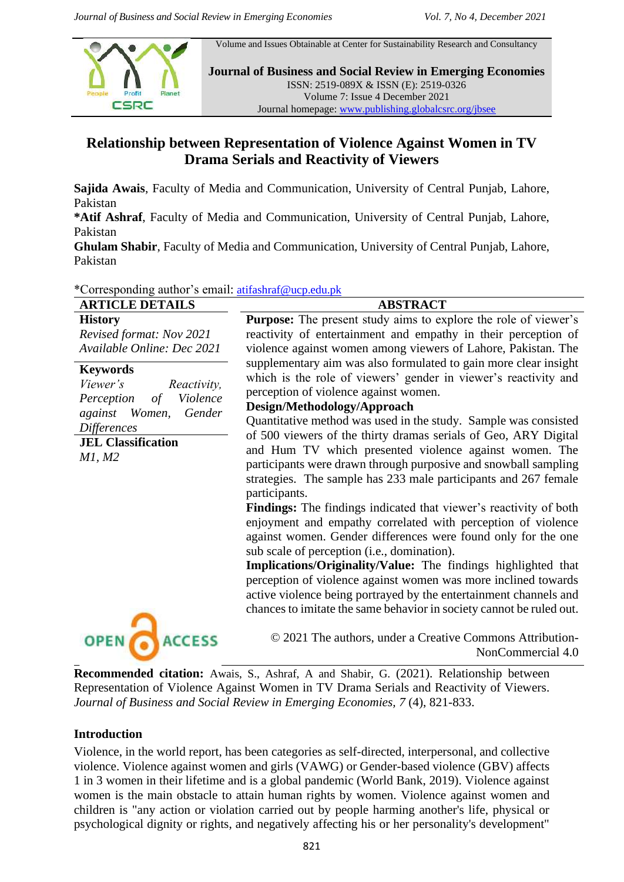Volume and Issues Obtainable at Center for Sustainability Research and Consultancy



**Journal of Business and Social Review in Emerging Economies** ISSN: 2519-089X & ISSN (E): 2519-0326 Volume 7: Issue 4 December 2021 Journal homepage: [www.publishing.globalcsrc.org/jbsee](http://www.publishing.globalcsrc.org/jbsee)

# **Relationship between Representation of Violence Against Women in TV Drama Serials and Reactivity of Viewers**

**Sajida Awais**, Faculty of Media and Communication, University of Central Punjab, Lahore, Pakistan

**\*Atif Ashraf**, Faculty of Media and Communication, University of Central Punjab, Lahore, Pakistan

**Ghulam Shabir**, Faculty of Media and Communication, University of Central Punjab, Lahore, Pakistan

\*Corresponding author's email: [atifashraf@ucp.edu.pk](mailto:atifashraf@ucp.edu.pk)

| <b>ARTICLE DETAILS</b>                                                                | <b>ABSTRACT</b>                                                                                                                                                                                                                                                                                                                                                                                                                                                                                                                                           |
|---------------------------------------------------------------------------------------|-----------------------------------------------------------------------------------------------------------------------------------------------------------------------------------------------------------------------------------------------------------------------------------------------------------------------------------------------------------------------------------------------------------------------------------------------------------------------------------------------------------------------------------------------------------|
| <b>History</b><br>Revised format: Nov 2021<br>Available Online: Dec 2021              | <b>Purpose:</b> The present study aims to explore the role of viewer's<br>reactivity of entertainment and empathy in their perception of<br>violence against women among viewers of Lahore, Pakistan. The                                                                                                                                                                                                                                                                                                                                                 |
| <b>Keywords</b><br>Viewer's<br>Reactivity,<br>Violence<br>Perception<br>$\sigma f$    | supplementary aim was also formulated to gain more clear insight<br>which is the role of viewers' gender in viewer's reactivity and<br>perception of violence against women.<br>Design/Methodology/Approach                                                                                                                                                                                                                                                                                                                                               |
| against Women,<br>Gender<br><b>Differences</b><br><b>JEL Classification</b><br>M1, M2 | Quantitative method was used in the study. Sample was consisted<br>of 500 viewers of the thirty dramas serials of Geo, ARY Digital<br>and Hum TV which presented violence against women. The<br>participants were drawn through purposive and snowball sampling<br>strategies. The sample has 233 male participants and 267 female                                                                                                                                                                                                                        |
|                                                                                       | participants.<br><b>Findings:</b> The findings indicated that viewer's reactivity of both<br>enjoyment and empathy correlated with perception of violence<br>against women. Gender differences were found only for the one<br>sub scale of perception (i.e., domination).<br>Implications/Originality/Value: The findings highlighted that<br>perception of violence against women was more inclined towards<br>active violence being portrayed by the entertainment channels and<br>chances to imitate the same behavior in society cannot be ruled out. |
|                                                                                       | © 2021 The authors, under a Creative Commons Attribution-<br>NonCommercial 4.0                                                                                                                                                                                                                                                                                                                                                                                                                                                                            |

**Recommended citation:** Awais, S., Ashraf, A and Shabir, G. (2021). Relationship between Representation of Violence Against Women in TV Drama Serials and Reactivity of Viewers. *Journal of Business and Social Review in Emerging Economies, 7* (4), 821-833.

# **Introduction**

Violence, in the world report, has been categories as self-directed, interpersonal, and collective violence. Violence against women and girls (VAWG) or Gender-based violence (GBV) affects 1 in 3 women in their lifetime and is a global pandemic (World Bank, 2019). Violence against women is the main obstacle to attain human rights by women. Violence against women and children is "any action or violation carried out by people harming another's life, physical or psychological dignity or rights, and negatively affecting his or her personality's development"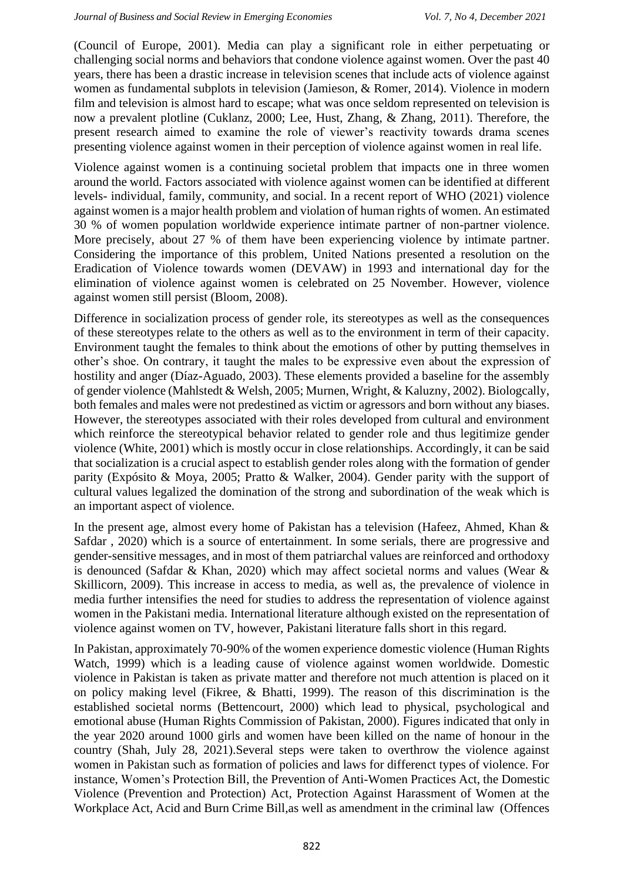(Council of Europe, 2001). Media can play a significant role in either perpetuating or challenging social norms and behaviors that condone violence against women. Over the past 40 years, there has been a drastic increase in television scenes that include acts of violence against women as fundamental subplots in television (Jamieson, & Romer, 2014). Violence in modern film and television is almost hard to escape; what was once seldom represented on television is now a prevalent plotline (Cuklanz, 2000; Lee, Hust, Zhang, & Zhang, 2011). Therefore, the present research aimed to examine the role of viewer's reactivity towards drama scenes presenting violence against women in their perception of violence against women in real life.

Violence against women is a continuing societal problem that impacts one in three women around the world. Factors associated with violence against women can be identified at different levels- individual, family, community, and social. In a recent report of WHO (2021) violence against women is a major health problem and violation of human rights of women. An estimated 30 % of women population worldwide experience intimate partner of non-partner violence. More precisely, about 27 % of them have been experiencing violence by intimate partner. Considering the importance of this problem, United Nations presented a resolution on the Eradication of Violence towards women (DEVAW) in 1993 and international day for the elimination of violence against women is celebrated on 25 November. However, violence against women still persist (Bloom, 2008).

Difference in socialization process of gender role, its stereotypes as well as the consequences of these stereotypes relate to the others as well as to the environment in term of their capacity. Environment taught the females to think about the emotions of other by putting themselves in other's shoe. On contrary, it taught the males to be expressive even about the expression of hostility and anger (Díaz-Aguado, 2003). These elements provided a baseline for the assembly of gender violence (Mahlstedt & Welsh, 2005; Murnen, Wright, & Kaluzny, 2002). Biologcally, both females and males were not predestined as victim or agressors and born without any biases. However, the stereotypes associated with their roles developed from cultural and environment which reinforce the stereotypical behavior related to gender role and thus legitimize gender violence (White, 2001) which is mostly occur in close relationships. Accordingly, it can be said that socialization is a crucial aspect to establish gender roles along with the formation of gender parity (Expósito & Moya, 2005; Pratto & Walker, 2004). Gender parity with the support of cultural values legalized the domination of the strong and subordination of the weak which is an important aspect of violence.

In the present age, almost every home of Pakistan has a television (Hafeez, Ahmed, Khan & Safdar , 2020) which is a source of entertainment. In some serials, there are progressive and gender-sensitive messages, and in most of them patriarchal values are reinforced and orthodoxy is denounced (Safdar & Khan, 2020) which may affect societal norms and values (Wear & Skillicorn, 2009). This increase in access to media, as well as, the prevalence of violence in media further intensifies the need for studies to address the representation of violence against women in the Pakistani media. International literature although existed on the representation of violence against women on TV, however, Pakistani literature falls short in this regard.

In Pakistan, approximately 70-90% of the women experience domestic violence (Human Rights Watch, 1999) which is a leading cause of violence against women worldwide. Domestic violence in Pakistan is taken as private matter and therefore not much attention is placed on it on policy making level (Fikree, & Bhatti, 1999). The reason of this discrimination is the established societal norms (Bettencourt, 2000) which lead to physical, psychological and emotional abuse (Human Rights Commission of Pakistan, 2000). Figures indicated that only in the year 2020 around 1000 girls and women have been killed on the name of honour in the country (Shah, July 28, 2021).Several steps were taken to overthrow the violence against women in Pakistan such as formation of policies and laws for differenct types of violence. For instance, [Women's Protection Bill,](http://www.dawn.com/news/1245591) the [Prevention of Anti-Women Practices Act,](https://pcsw.punjab.gov.pk/prevention_of_anti_women_practices) the [Domestic](http://www.af.org.pk/Important%20Courts%27%20judgement/Women%20protection%20against%20domestic%20violence%20bil%2013pages.pdf)  [Violence \(Prevention and Protection\) Act,](http://www.af.org.pk/Important%20Courts%27%20judgement/Women%20protection%20against%20domestic%20violence%20bil%2013pages.pdf) [Protection Against Harassment of Women at the](https://www.ssrn.com/abstract=2949467)  [Workplace Act,](https://www.ssrn.com/abstract=2949467) [Acid and Burn Crime Bill,](http://www.senate.gov.pk/uploads/documents/1527223731_946.pdf)as well as amendment in the criminal law (Offences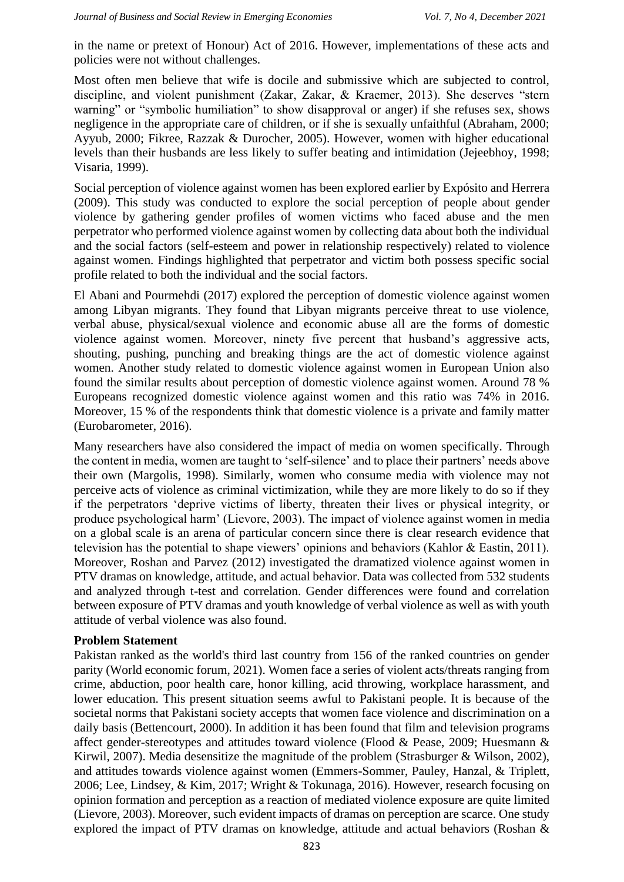in the name or pretext of Honour) Act of 2016. However, implementations of these acts and policies were not without challenges.

Most often men believe that wife is docile and submissive which are subjected to control, discipline, and violent punishment (Zakar, Zakar, & Kraemer, 2013). She deserves "stern warning" or "symbolic humiliation" to show disapproval or anger) if she refuses sex, shows negligence in the appropriate care of children, or if she is sexually unfaithful (Abraham, 2000; Ayyub, 2000; Fikree, Razzak & Durocher, 2005). However, women with higher educational levels than their husbands are less likely to suffer beating and intimidation (Jejeebhoy, 1998; Visaria, 1999).

Social perception of violence against women has been explored earlier by Expósito and Herrera (2009). This study was conducted to explore the social perception of people about gender violence by gathering gender profiles of women victims who faced abuse and the men perpetrator who performed violence against women by collecting data about both the individual and the social factors (self-esteem and power in relationship respectively) related to violence against women. Findings highlighted that perpetrator and victim both possess specific social profile related to both the individual and the social factors.

El Abani and Pourmehdi (2017) explored the perception of domestic violence against women among Libyan migrants. They found that Libyan migrants perceive threat to use violence, verbal abuse, physical/sexual violence and economic abuse all are the forms of domestic violence against women. Moreover, ninety five percent that husband's aggressive acts, shouting, pushing, punching and breaking things are the act of domestic violence against women. Another study related to domestic violence against women in European Union also found the similar results about perception of domestic violence against women. Around 78 % Europeans recognized domestic violence against women and this ratio was 74% in 2016. Moreover, 15 % of the respondents think that domestic violence is a private and family matter (Eurobarometer, 2016).

Many researchers have also considered the impact of media on women specifically. Through the content in media, women are taught to 'self-silence' and to place their partners' needs above their own (Margolis, 1998). Similarly, women who consume media with violence may not perceive acts of violence as criminal victimization, while they are more likely to do so if they if the perpetrators 'deprive victims of liberty, threaten their lives or physical integrity, or produce psychological harm' (Lievore, 2003). The impact of violence against women in media on a global scale is an arena of particular concern since there is clear research evidence that television has the potential to shape viewers' opinions and behaviors (Kahlor & Eastin, 2011). Moreover, Roshan and Parvez (2012) investigated the dramatized violence against women in PTV dramas on knowledge, attitude, and actual behavior. Data was collected from 532 students and analyzed through t-test and correlation. Gender differences were found and correlation between exposure of PTV dramas and youth knowledge of verbal violence as well as with youth attitude of verbal violence was also found.

#### **Problem Statement**

Pakistan ranked as the world's third last country from 156 of the ranked countries on gender parity (World economic forum, 2021). Women face a series of violent acts/threats ranging from crime, abduction, poor health care, honor killing, acid throwing, workplace harassment, and lower education. This present situation seems awful to Pakistani people. It is because of the societal norms that Pakistani society accepts that women face violence and discrimination on a daily basis (Bettencourt, 2000). In addition it has been found that film and television programs affect gender-stereotypes and attitudes toward violence (Flood & Pease, 2009; Huesmann & Kirwil, 2007). Media desensitize the magnitude of the problem (Strasburger & Wilson, 2002), and attitudes towards violence against women (Emmers-Sommer, Pauley, Hanzal, & Triplett, 2006; Lee, Lindsey, & Kim, 2017; Wright & Tokunaga, 2016). However, research focusing on opinion formation and perception as a reaction of mediated violence exposure are quite limited (Lievore, 2003). Moreover, such evident impacts of dramas on perception are scarce. One study explored the impact of PTV dramas on knowledge, attitude and actual behaviors (Roshan &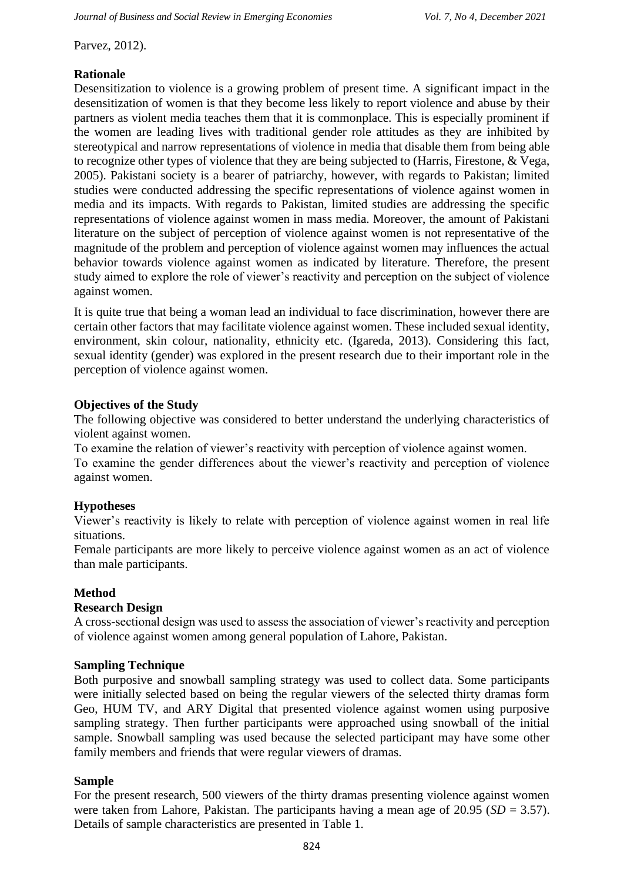Parvez, 2012).

## **Rationale**

Desensitization to violence is a growing problem of present time. A significant impact in the desensitization of women is that they become less likely to report violence and abuse by their partners as violent media teaches them that it is commonplace. This is especially prominent if the women are leading lives with traditional gender role attitudes as they are inhibited by stereotypical and narrow representations of violence in media that disable them from being able to recognize other types of violence that they are being subjected to (Harris, Firestone, & Vega, 2005). Pakistani society is a bearer of patriarchy, however, with regards to Pakistan; limited studies were conducted addressing the specific representations of violence against women in media and its impacts. With regards to Pakistan, limited studies are addressing the specific representations of violence against women in mass media. Moreover, the amount of Pakistani literature on the subject of perception of violence against women is not representative of the magnitude of the problem and perception of violence against women may influences the actual behavior towards violence against women as indicated by literature. Therefore, the present study aimed to explore the role of viewer's reactivity and perception on the subject of violence against women.

It is quite true that being a woman lead an individual to face discrimination, however there are certain other factors that may facilitate violence against women. These included sexual identity, environment, skin colour, nationality, ethnicity etc. (Igareda, 2013). Considering this fact, sexual identity (gender) was explored in the present research due to their important role in the perception of violence against women.

#### **Objectives of the Study**

The following objective was considered to better understand the underlying characteristics of violent against women.

To examine the relation of viewer's reactivity with perception of violence against women.

To examine the gender differences about the viewer's reactivity and perception of violence against women.

#### **Hypotheses**

Viewer's reactivity is likely to relate with perception of violence against women in real life situations.

Female participants are more likely to perceive violence against women as an act of violence than male participants.

#### **Method**

#### **Research Design**

A cross-sectional design was used to assess the association of viewer's reactivity and perception of violence against women among general population of Lahore, Pakistan.

#### **Sampling Technique**

Both purposive and snowball sampling strategy was used to collect data. Some participants were initially selected based on being the regular viewers of the selected thirty dramas form Geo, HUM TV, and ARY Digital that presented violence against women using purposive sampling strategy. Then further participants were approached using snowball of the initial sample. Snowball sampling was used because the selected participant may have some other family members and friends that were regular viewers of dramas.

#### **Sample**

For the present research, 500 viewers of the thirty dramas presenting violence against women were taken from Lahore, Pakistan. The participants having a mean age of 20.95 (*SD* = 3.57). Details of sample characteristics are presented in Table 1.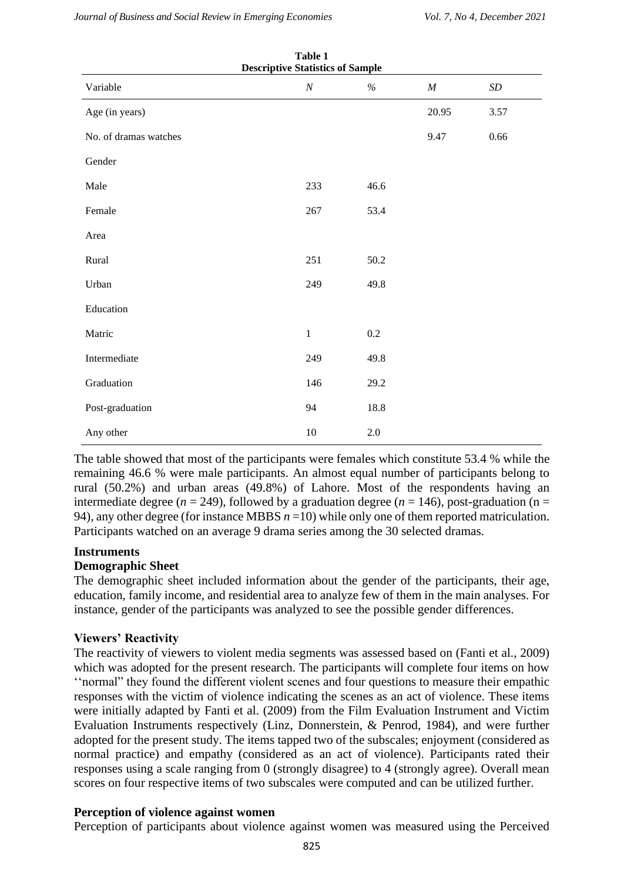| <b>Descriptive Statistics of Sample</b> |             |         |          |           |  |  |
|-----------------------------------------|-------------|---------|----------|-----------|--|--|
| Variable                                | $\cal N$    | $\%$    | $\cal M$ | $\cal SD$ |  |  |
| Age (in years)                          |             |         | 20.95    | 3.57      |  |  |
| No. of dramas watches                   |             |         | 9.47     | 0.66      |  |  |
| Gender                                  |             |         |          |           |  |  |
| Male                                    | 233         | 46.6    |          |           |  |  |
| Female                                  | 267         | 53.4    |          |           |  |  |
| Area                                    |             |         |          |           |  |  |
| Rural                                   | 251         | 50.2    |          |           |  |  |
| Urban                                   | 249         | 49.8    |          |           |  |  |
| Education                               |             |         |          |           |  |  |
| Matric                                  | $\mathbf 1$ | $0.2\,$ |          |           |  |  |
| Intermediate                            | 249         | 49.8    |          |           |  |  |
| Graduation                              | 146         | 29.2    |          |           |  |  |
| Post-graduation                         | 94          | 18.8    |          |           |  |  |
| Any other                               | $10\,$      | $2.0\,$ |          |           |  |  |

| Table 1                                 |  |
|-----------------------------------------|--|
| <b>Descriptive Statistics of Sample</b> |  |

The table showed that most of the participants were females which constitute 53.4 % while the remaining 46.6 % were male participants. An almost equal number of participants belong to rural (50.2%) and urban areas (49.8%) of Lahore. Most of the respondents having an intermediate degree ( $n = 249$ ), followed by a graduation degree ( $n = 146$ ), post-graduation ( $n =$ 94), any other degree (for instance MBBS  $n = 10$ ) while only one of them reported matriculation. Participants watched on an average 9 drama series among the 30 selected dramas.

#### **Instruments**

#### **Demographic Sheet**

The demographic sheet included information about the gender of the participants, their age, education, family income, and residential area to analyze few of them in the main analyses. For instance, gender of the participants was analyzed to see the possible gender differences.

#### **Viewers' Reactivity**

The reactivity of viewers to violent media segments was assessed based on (Fanti et al., 2009) which was adopted for the present research. The participants will complete four items on how ''normal" they found the different violent scenes and four questions to measure their empathic responses with the victim of violence indicating the scenes as an act of violence. These items were initially adapted by Fanti et al. (2009) from the Film Evaluation Instrument and Victim Evaluation Instruments respectively (Linz, Donnerstein, & Penrod, 1984), and were further adopted for the present study. The items tapped two of the subscales; enjoyment (considered as normal practice) and empathy (considered as an act of violence). Participants rated their responses using a scale ranging from 0 (strongly disagree) to 4 (strongly agree). Overall mean scores on four respective items of two subscales were computed and can be utilized further.

# **Perception of violence against women**

Perception of participants about violence against women was measured using the Perceived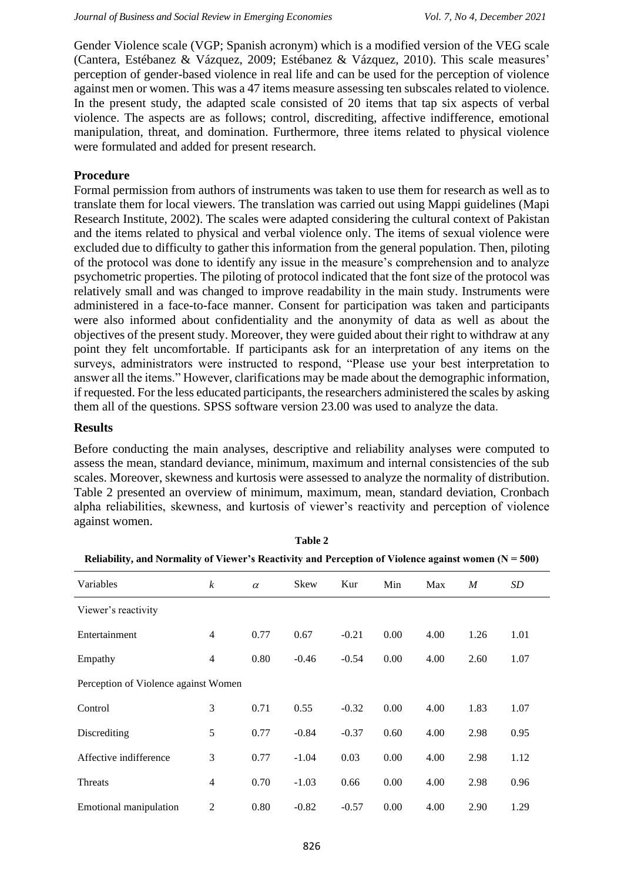Gender Violence scale (VGP; Spanish acronym) which is a modified version of the VEG scale (Cantera, Estébanez & Vázquez, 2009; Estébanez & Vázquez, 2010). This scale measures' perception of gender-based violence in real life and can be used for the perception of violence against men or women. This was a 47 items measure assessing ten subscales related to violence. In the present study, the adapted scale consisted of 20 items that tap six aspects of verbal violence. The aspects are as follows; control, discrediting, affective indifference, emotional manipulation, threat, and domination. Furthermore, three items related to physical violence were formulated and added for present research.

## **Procedure**

Formal permission from authors of instruments was taken to use them for research as well as to translate them for local viewers. The translation was carried out using Mappi guidelines (Mapi Research Institute, 2002). The scales were adapted considering the cultural context of Pakistan and the items related to physical and verbal violence only. The items of sexual violence were excluded due to difficulty to gather this information from the general population. Then, piloting of the protocol was done to identify any issue in the measure's comprehension and to analyze psychometric properties. The piloting of protocol indicated that the font size of the protocol was relatively small and was changed to improve readability in the main study. Instruments were administered in a face-to-face manner. Consent for participation was taken and participants were also informed about confidentiality and the anonymity of data as well as about the objectives of the present study. Moreover, they were guided about their right to withdraw at any point they felt uncomfortable. If participants ask for an interpretation of any items on the surveys, administrators were instructed to respond, "Please use your best interpretation to answer all the items." However, clarifications may be made about the demographic information, if requested. For the less educated participants, the researchers administered the scales by asking them all of the questions. SPSS software version 23.00 was used to analyze the data.

#### **Results**

Before conducting the main analyses, descriptive and reliability analyses were computed to assess the mean, standard deviance, minimum, maximum and internal consistencies of the sub scales. Moreover, skewness and kurtosis were assessed to analyze the normality of distribution. Table 2 presented an overview of minimum, maximum, mean, standard deviation, Cronbach alpha reliabilities, skewness, and kurtosis of viewer's reactivity and perception of violence against women.

| кспарниз, ана готнанну от уконст з ксаситну ана гетерион от уюкисе аданзе монен (гу |                  |          |         |         |      |      |      |      |
|-------------------------------------------------------------------------------------|------------------|----------|---------|---------|------|------|------|------|
| Variables                                                                           | $\boldsymbol{k}$ | $\alpha$ | Skew    | Kur     | Min  | Max  | M    | SD   |
| Viewer's reactivity                                                                 |                  |          |         |         |      |      |      |      |
| Entertainment                                                                       | $\overline{4}$   | 0.77     | 0.67    | $-0.21$ | 0.00 | 4.00 | 1.26 | 1.01 |
| Empathy                                                                             | $\overline{4}$   | 0.80     | $-0.46$ | $-0.54$ | 0.00 | 4.00 | 2.60 | 1.07 |
| Perception of Violence against Women                                                |                  |          |         |         |      |      |      |      |
| Control                                                                             | 3                | 0.71     | 0.55    | $-0.32$ | 0.00 | 4.00 | 1.83 | 1.07 |
| Discrediting                                                                        | 5                | 0.77     | $-0.84$ | $-0.37$ | 0.60 | 4.00 | 2.98 | 0.95 |
| Affective indifference                                                              | 3                | 0.77     | $-1.04$ | 0.03    | 0.00 | 4.00 | 2.98 | 1.12 |
| <b>Threats</b>                                                                      | $\overline{4}$   | 0.70     | $-1.03$ | 0.66    | 0.00 | 4.00 | 2.98 | 0.96 |
| Emotional manipulation                                                              | $\overline{2}$   | 0.80     | $-0.82$ | $-0.57$ | 0.00 | 4.00 | 2.90 | 1.29 |

**Table 2 Reliability, and Normality of Viewer's Reactivity and Perception of Violence against women (N = 500)**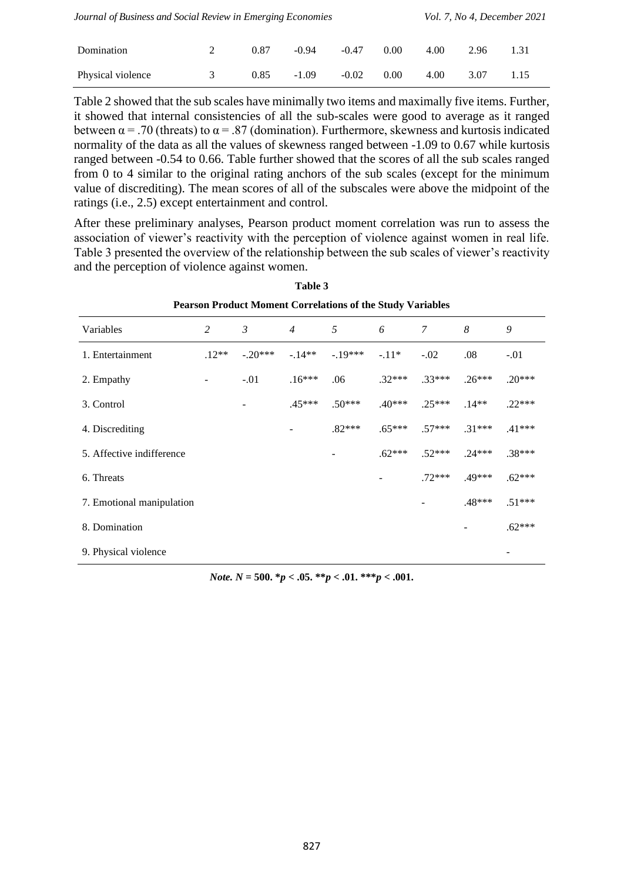| Journal of Business and Social Review in Emerging Economies |               |      |         |         |      |      |      | <i>Vol. 7, No 4, December 2021</i> |
|-------------------------------------------------------------|---------------|------|---------|---------|------|------|------|------------------------------------|
| Domination                                                  |               | 0.87 | $-0.94$ | $-0.47$ | 0.00 | 4.00 | 2.96 | 1.31                               |
| Physical violence                                           | $\mathcal{R}$ | 0.85 | $-1.09$ | $-0.02$ | 0.00 | 4.00 | 3.07 |                                    |

Table 2 showed that the sub scales have minimally two items and maximally five items. Further, it showed that internal consistencies of all the sub-scales were good to average as it ranged between  $\alpha$  = .70 (threats) to  $\alpha$  = .87 (domination). Furthermore, skewness and kurtosis indicated normality of the data as all the values of skewness ranged between -1.09 to 0.67 while kurtosis ranged between -0.54 to 0.66. Table further showed that the scores of all the sub scales ranged from 0 to 4 similar to the original rating anchors of the sub scales (except for the minimum value of discrediting). The mean scores of all of the subscales were above the midpoint of the ratings (i.e., 2.5) except entertainment and control.

After these preliminary analyses, Pearson product moment correlation was run to assess the association of viewer's reactivity with the perception of violence against women in real life. Table 3 presented the overview of the relationship between the sub scales of viewer's reactivity and the perception of violence against women.

| Variables                 | 2       | $\mathfrak{Z}$  | $\overline{4}$ | 5        | 6        | 7        | 8        | 9        |
|---------------------------|---------|-----------------|----------------|----------|----------|----------|----------|----------|
| 1. Entertainment          | $.12**$ | $-.20***$       | $-14**$        | $-19***$ | $-.11*$  | $-.02$   | .08      | $-.01$   |
| 2. Empathy                |         | $-.01$          | $.16***$       | .06      | $.32***$ | $.33***$ | $.26***$ | $.20***$ |
| 3. Control                |         | $\qquad \qquad$ | $.45***$       | $.50***$ | $.40***$ | $25***$  | $.14**$  | $.22***$ |
| 4. Discrediting           |         |                 |                | $.82***$ | $.65***$ | $.57***$ | $.31***$ | $.41***$ |
| 5. Affective indifference |         |                 |                |          | $.62***$ | $.52***$ | $.24***$ | $.38***$ |
| 6. Threats                |         |                 |                |          |          | $.72***$ | $.49***$ | $.62***$ |
| 7. Emotional manipulation |         |                 |                |          |          |          | $.48***$ | $.51***$ |
| 8. Domination             |         |                 |                |          |          |          |          | $.62***$ |
| 9. Physical violence      |         |                 |                |          |          |          |          |          |

**Table 3 Pearson Product Moment Correlations of the Study Variables**

*Note. N* **= 500. \****p* **< .05. \*\****p* **< .01. \*\*\****p* **< .001.**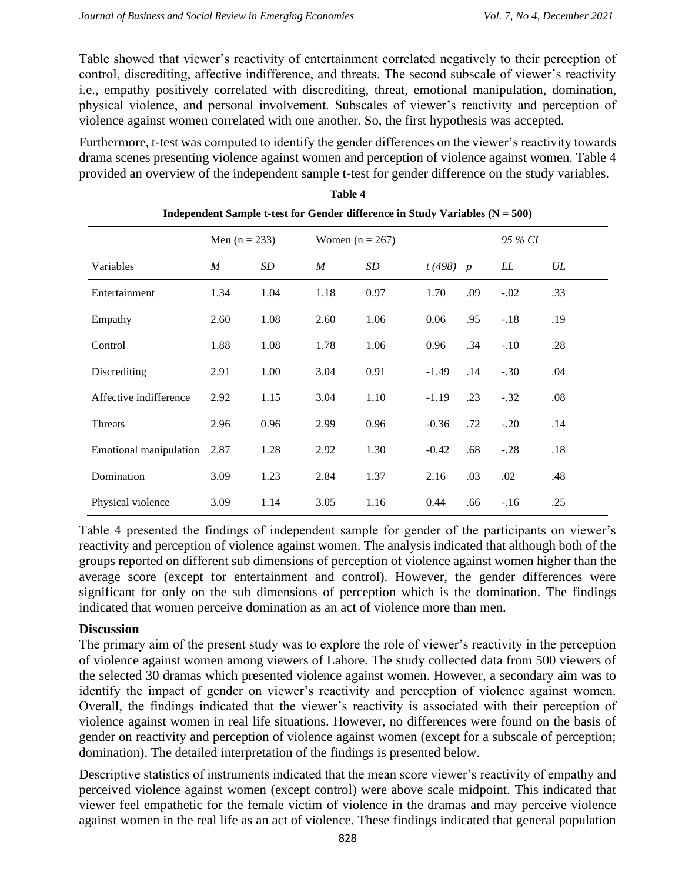Table showed that viewer's reactivity of entertainment correlated negatively to their perception of control, discrediting, affective indifference, and threats. The second subscale of viewer's reactivity i.e., empathy positively correlated with discrediting, threat, emotional manipulation, domination, physical violence, and personal involvement. Subscales of viewer's reactivity and perception of violence against women correlated with one another. So, the first hypothesis was accepted.

Furthermore, t-test was computed to identify the gender differences on the viewer's reactivity towards drama scenes presenting violence against women and perception of violence against women. Table 4 provided an overview of the independent sample t-test for gender difference on the study variables.

| Independent Sample t-test for Gender difference in Study Variables $(N = 500)$ |                  |      |                  |                   |          |     |        |     |
|--------------------------------------------------------------------------------|------------------|------|------------------|-------------------|----------|-----|--------|-----|
|                                                                                | Men $(n = 233)$  |      |                  | Women $(n = 267)$ |          |     |        |     |
| Variables                                                                      | $\boldsymbol{M}$ | SD   | $\boldsymbol{M}$ | SD                | t(498) p |     | LL     | UL  |
| Entertainment                                                                  | 1.34             | 1.04 | 1.18             | 0.97              | 1.70     | .09 | $-.02$ | .33 |
| Empathy                                                                        | 2.60             | 1.08 | 2.60             | 1.06              | 0.06     | .95 | $-.18$ | .19 |
| Control                                                                        | 1.88             | 1.08 | 1.78             | 1.06              | 0.96     | .34 | $-.10$ | .28 |
| Discrediting                                                                   | 2.91             | 1.00 | 3.04             | 0.91              | $-1.49$  | .14 | $-.30$ | .04 |
| Affective indifference                                                         | 2.92             | 1.15 | 3.04             | 1.10              | $-1.19$  | .23 | $-.32$ | .08 |
| <b>Threats</b>                                                                 | 2.96             | 0.96 | 2.99             | 0.96              | $-0.36$  | .72 | $-.20$ | .14 |
| Emotional manipulation                                                         | 2.87             | 1.28 | 2.92             | 1.30              | $-0.42$  | .68 | $-.28$ | .18 |
| Domination                                                                     | 3.09             | 1.23 | 2.84             | 1.37              | 2.16     | .03 | .02    | .48 |
| Physical violence                                                              | 3.09             | 1.14 | 3.05             | 1.16              | 0.44     | .66 | $-.16$ | .25 |

| Table 4                                                                        |  |
|--------------------------------------------------------------------------------|--|
| Independent Sample t-test for Gender difference in Study Variables $(N = 500)$ |  |

Table 4 presented the findings of independent sample for gender of the participants on viewer's reactivity and perception of violence against women. The analysis indicated that although both of the groups reported on different sub dimensions of perception of violence against women higher than the average score (except for entertainment and control). However, the gender differences were significant for only on the sub dimensions of perception which is the domination. The findings indicated that women perceive domination as an act of violence more than men.

#### **Discussion**

The primary aim of the present study was to explore the role of viewer's reactivity in the perception of violence against women among viewers of Lahore. The study collected data from 500 viewers of the selected 30 dramas which presented violence against women. However, a secondary aim was to identify the impact of gender on viewer's reactivity and perception of violence against women. Overall, the findings indicated that the viewer's reactivity is associated with their perception of violence against women in real life situations. However, no differences were found on the basis of gender on reactivity and perception of violence against women (except for a subscale of perception; domination). The detailed interpretation of the findings is presented below.

Descriptive statistics of instruments indicated that the mean score viewer's reactivity of empathy and perceived violence against women (except control) were above scale midpoint. This indicated that viewer feel empathetic for the female victim of violence in the dramas and may perceive violence against women in the real life as an act of violence. These findings indicated that general population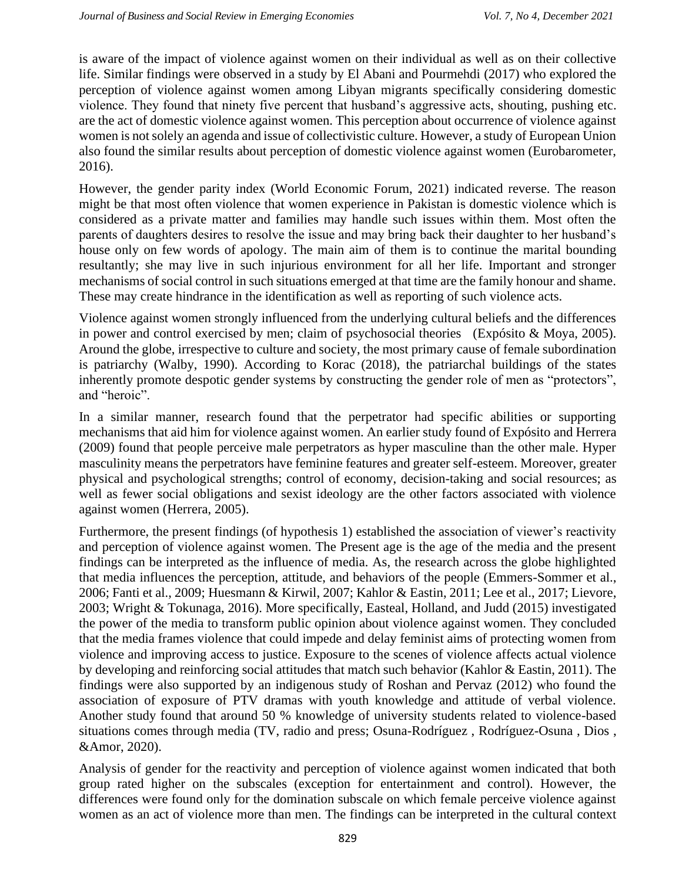is aware of the impact of violence against women on their individual as well as on their collective life. Similar findings were observed in a study by El Abani and Pourmehdi (2017) who explored the perception of violence against women among Libyan migrants specifically considering domestic violence. They found that ninety five percent that husband's aggressive acts, shouting, pushing etc. are the act of domestic violence against women. This perception about occurrence of violence against women is not solely an agenda and issue of collectivistic culture. However, a study of European Union also found the similar results about perception of domestic violence against women (Eurobarometer, 2016).

However, the gender parity index (World Economic Forum, 2021) indicated reverse. The reason might be that most often violence that women experience in Pakistan is domestic violence which is considered as a private matter and families may handle such issues within them. Most often the parents of daughters desires to resolve the issue and may bring back their daughter to her husband's house only on few words of apology. The main aim of them is to continue the marital bounding resultantly; she may live in such injurious environment for all her life. Important and stronger mechanisms of social control in such situations emerged at that time are the family honour and shame. These may create hindrance in the identification as well as reporting of such violence acts.

Violence against women strongly influenced from the underlying cultural beliefs and the differences in power and control exercised by men; claim of psychosocial theories (Expósito & Moya, 2005). Around the globe, irrespective to culture and society, the most primary cause of female subordination is patriarchy (Walby, 1990). According to Korac (2018), the patriarchal buildings of the states inherently promote despotic gender systems by constructing the gender role of men as "protectors", and "heroic".

In a similar manner, research found that the perpetrator had specific abilities or supporting mechanisms that aid him for violence against women. An earlier study found of Expósito and Herrera (2009) found that people perceive male perpetrators as hyper masculine than the other male. Hyper masculinity means the perpetrators have feminine features and greater self-esteem. Moreover, greater physical and psychological strengths; control of economy, decision-taking and social resources; as well as fewer social obligations and sexist ideology are the other factors associated with violence against women (Herrera, 2005).

Furthermore, the present findings (of hypothesis 1) established the association of viewer's reactivity and perception of violence against women. The Present age is the age of the media and the present findings can be interpreted as the influence of media. As, the research across the globe highlighted that media influences the perception, attitude, and behaviors of the people (Emmers-Sommer et al., 2006; Fanti et al., 2009; Huesmann & Kirwil, 2007; Kahlor & Eastin, 2011; Lee et al., 2017; Lievore, 2003; Wright & Tokunaga, 2016). More specifically, Easteal, Holland, and Judd (2015) investigated the power of the media to transform public opinion about violence against women. They concluded that the media frames violence that could impede and delay feminist aims of protecting women from violence and improving access to justice. Exposure to the scenes of violence affects actual violence by developing and reinforcing social attitudes that match such behavior (Kahlor & Eastin, 2011). The findings were also supported by an indigenous study of Roshan and Pervaz (2012) who found the association of exposure of PTV dramas with youth knowledge and attitude of verbal violence. Another study found that around 50 % knowledge of university students related to violence-based situations comes through media (TV, radio and press; Osuna-Rodríguez , Rodríguez-Osuna , Dios , &Amor, 2020).

Analysis of gender for the reactivity and perception of violence against women indicated that both group rated higher on the subscales (exception for entertainment and control). However, the differences were found only for the domination subscale on which female perceive violence against women as an act of violence more than men. The findings can be interpreted in the cultural context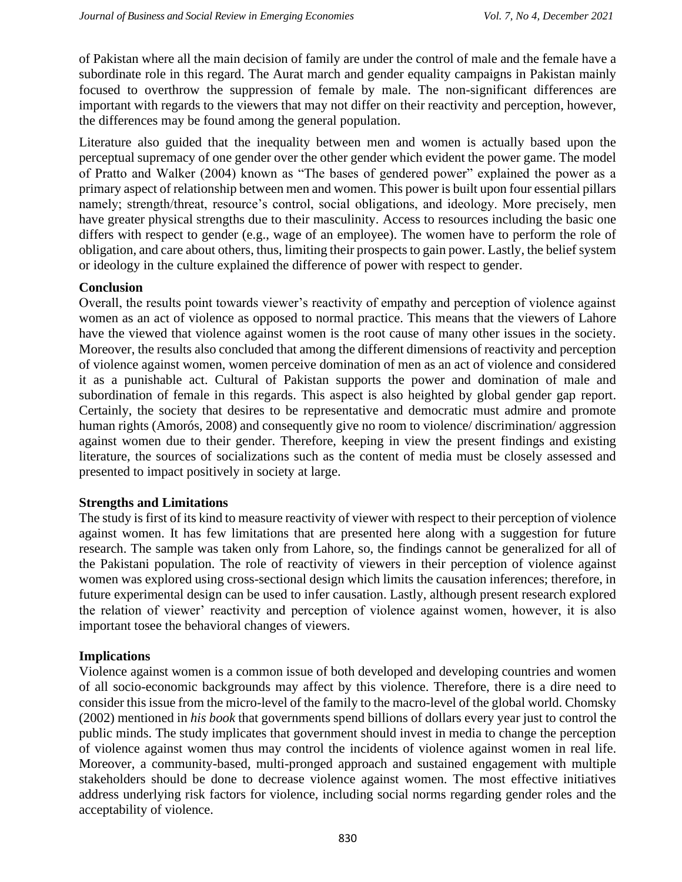of Pakistan where all the main decision of family are under the control of male and the female have a subordinate role in this regard. The Aurat march and gender equality campaigns in Pakistan mainly focused to overthrow the suppression of female by male. The non-significant differences are important with regards to the viewers that may not differ on their reactivity and perception, however, the differences may be found among the general population.

Literature also guided that the inequality between men and women is actually based upon the perceptual supremacy of one gender over the other gender which evident the power game. The model of Pratto and Walker (2004) known as "The bases of gendered power" explained the power as a primary aspect of relationship between men and women. This power is built upon four essential pillars namely; strength/threat, resource's control, social obligations, and ideology. More precisely, men have greater physical strengths due to their masculinity. Access to resources including the basic one differs with respect to gender (e.g., wage of an employee). The women have to perform the role of obligation, and care about others, thus, limiting their prospects to gain power. Lastly, the belief system or ideology in the culture explained the difference of power with respect to gender.

#### **Conclusion**

Overall, the results point towards viewer's reactivity of empathy and perception of violence against women as an act of violence as opposed to normal practice. This means that the viewers of Lahore have the viewed that violence against women is the root cause of many other issues in the society. Moreover, the results also concluded that among the different dimensions of reactivity and perception of violence against women, women perceive domination of men as an act of violence and considered it as a punishable act. Cultural of Pakistan supports the power and domination of male and subordination of female in this regards. This aspect is also heighted by global gender gap report. Certainly, the society that desires to be representative and democratic must admire and promote human rights (Amorós, 2008) and consequently give no room to violence/ discrimination/ aggression against women due to their gender. Therefore, keeping in view the present findings and existing literature, the sources of socializations such as the content of media must be closely assessed and presented to impact positively in society at large.

#### **Strengths and Limitations**

The study is first of its kind to measure reactivity of viewer with respect to their perception of violence against women. It has few limitations that are presented here along with a suggestion for future research. The sample was taken only from Lahore, so, the findings cannot be generalized for all of the Pakistani population. The role of reactivity of viewers in their perception of violence against women was explored using cross-sectional design which limits the causation inferences; therefore, in future experimental design can be used to infer causation. Lastly, although present research explored the relation of viewer' reactivity and perception of violence against women, however, it is also important tosee the behavioral changes of viewers.

#### **Implications**

Violence against women is a common issue of both developed and developing countries and women of all socio-economic backgrounds may affect by this violence. Therefore, there is a dire need to consider this issue from the micro-level of the family to the macro-level of the global world. Chomsky (2002) mentioned in *his book* that governments spend billions of dollars every year just to control the public minds. The study implicates that government should invest in media to change the perception of violence against women thus may control the incidents of violence against women in real life. Moreover, a community-based, multi-pronged approach and sustained engagement with multiple stakeholders should be done to decrease violence against women. The most effective initiatives address underlying risk factors for violence, including social norms regarding gender roles and the acceptability of violence.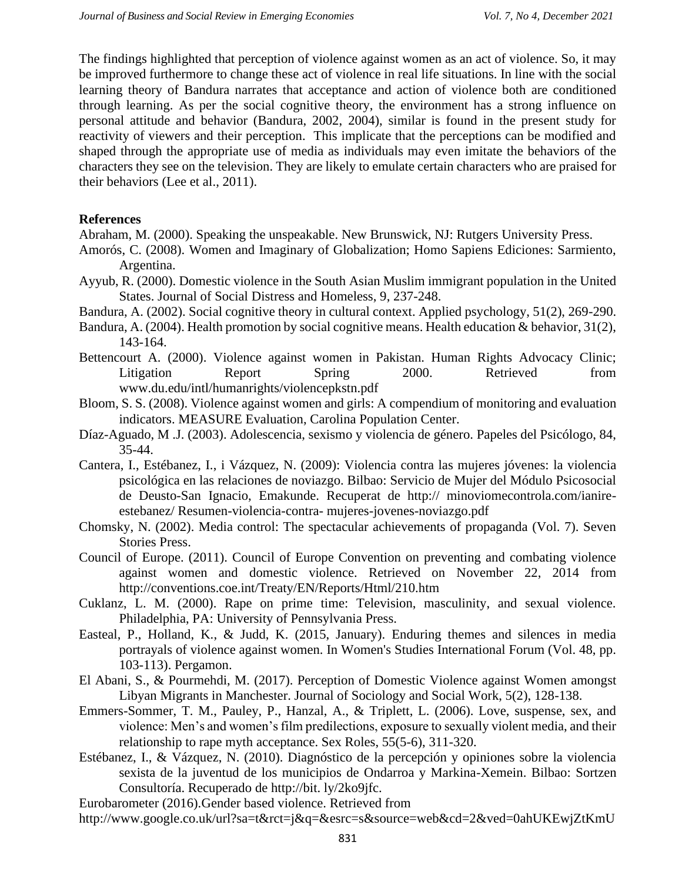The findings highlighted that perception of violence against women as an act of violence. So, it may be improved furthermore to change these act of violence in real life situations. In line with the social learning theory of Bandura narrates that acceptance and action of violence both are conditioned through learning. As per the social cognitive theory, the environment has a strong influence on personal attitude and behavior (Bandura, 2002, 2004), similar is found in the present study for reactivity of viewers and their perception. This implicate that the perceptions can be modified and shaped through the appropriate use of media as individuals may even imitate the behaviors of the characters they see on the television. They are likely to emulate certain characters who are praised for their behaviors (Lee et al., 2011).

#### **References**

Abraham, M. (2000). Speaking the unspeakable. New Brunswick, NJ: Rutgers University Press.

- Amorós, C. (2008). Women and Imaginary of Globalization; Homo Sapiens Ediciones: Sarmiento, Argentina.
- Ayyub, R. (2000). Domestic violence in the South Asian Muslim immigrant population in the United States. Journal of Social Distress and Homeless, 9, 237-248.
- Bandura, A. (2002). Social cognitive theory in cultural context. Applied psychology, 51(2), 269-290.
- Bandura, A. (2004). Health promotion by social cognitive means. Health education & behavior,  $31(2)$ , 143-164.
- Bettencourt A. (2000). Violence against women in Pakistan. Human Rights Advocacy Clinic; Litigation Report Spring 2000. Retrieved from www.du.edu/intl/humanrights/violencepkstn.pdf
- Bloom, S. S. (2008). Violence against women and girls: A compendium of monitoring and evaluation indicators. MEASURE Evaluation, Carolina Population Center.
- Díaz-Aguado, M .J. (2003). Adolescencia, sexismo y violencia de género. Papeles del Psicólogo, 84, 35-44.
- Cantera, I., Estébanez, I., i Vázquez, N. (2009): Violencia contra las mujeres jóvenes: la violencia psicológica en las relaciones de noviazgo. Bilbao: Servicio de Mujer del Módulo Psicosocial de Deusto-San Ignacio, Emakunde. Recuperat de http:// minoviomecontrola.com/ianireestebanez/ Resumen-violencia-contra- mujeres-jovenes-noviazgo.pdf
- Chomsky, N. (2002). Media control: The spectacular achievements of propaganda (Vol. 7). Seven Stories Press.
- Council of Europe. (2011). Council of Europe Convention on preventing and combating violence against women and domestic violence. Retrieved on November 22, 2014 from http://conventions.coe.int/Treaty/EN/Reports/Html/210.htm
- Cuklanz, L. M. (2000). Rape on prime time: Television, masculinity, and sexual violence. Philadelphia, PA: University of Pennsylvania Press.
- Easteal, P., Holland, K., & Judd, K. (2015, January). Enduring themes and silences in media portrayals of violence against women. In Women's Studies International Forum (Vol. 48, pp. 103-113). Pergamon.
- El Abani, S., & Pourmehdi, M. (2017). Perception of Domestic Violence against Women amongst Libyan Migrants in Manchester. Journal of Sociology and Social Work, 5(2), 128-138.
- Emmers-Sommer, T. M., Pauley, P., Hanzal, A., & Triplett, L. (2006). Love, suspense, sex, and violence: Men's and women's film predilections, exposure to sexually violent media, and their relationship to rape myth acceptance. Sex Roles, 55(5-6), 311-320.
- Estébanez, I., & Vázquez, N. (2010). Diagnóstico de la percepción y opiniones sobre la violencia sexista de la juventud de los municipios de Ondarroa y Markina-Xemein. Bilbao: Sortzen Consultoría. Recuperado de http://bit. ly/2ko9jfc.

Eurobarometer (2016).Gender based violence. Retrieved from

http://www.google.co.uk/url?sa=t&rct=j&q=&esrc=s&source=web&cd=2&ved=0ahUKEwjZtKmU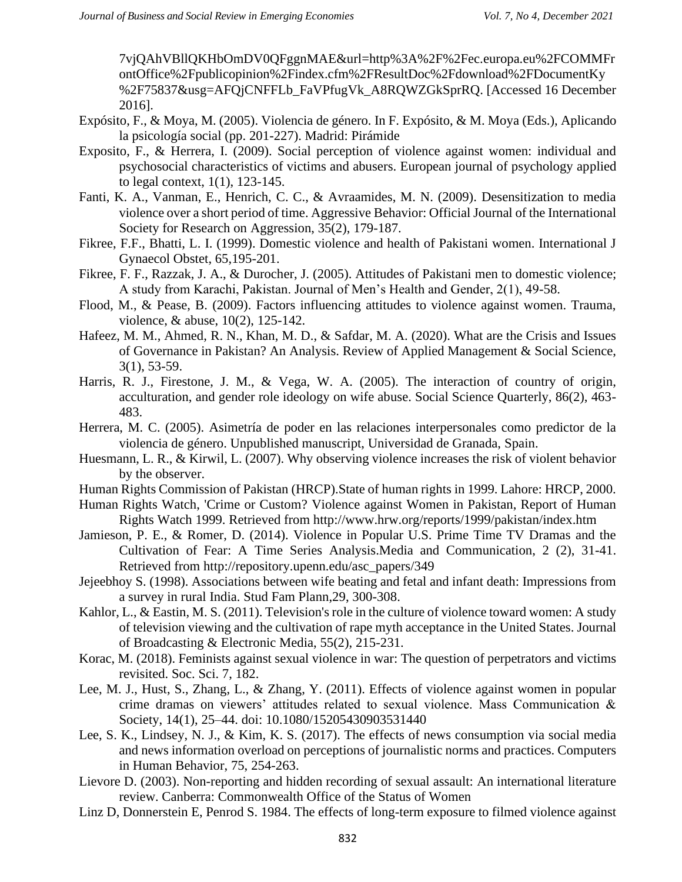7vjQAhVBllQKHbOmDV0QFggnMAE&url=http%3A%2F%2Fec.europa.eu%2FCOMMFr ontOffice%2Fpublicopinion%2Findex.cfm%2FResultDoc%2Fdownload%2FDocumentKy %2F75837&usg=AFQjCNFFLb\_FaVPfugVk\_A8RQWZGkSprRQ. [Accessed 16 December 2016].

- Expósito, F., & Moya, M. (2005). Violencia de género. In F. Expósito, & M. Moya (Eds.), Aplicando la psicología social (pp. 201-227). Madrid: Pirámide
- Exposito, F., & Herrera, I. (2009). Social perception of violence against women: individual and psychosocial characteristics of victims and abusers. European journal of psychology applied to legal context, 1(1), 123-145.
- Fanti, K. A., Vanman, E., Henrich, C. C., & Avraamides, M. N. (2009). Desensitization to media violence over a short period of time. Aggressive Behavior: Official Journal of the International Society for Research on Aggression, 35(2), 179-187.
- Fikree, F.F., Bhatti, L. I. (1999). Domestic violence and health of Pakistani women. International J Gynaecol Obstet, 65,195-201.
- Fikree, F. F., Razzak, J. A., & Durocher, J. (2005). Attitudes of Pakistani men to domestic violence; A study from Karachi, Pakistan. Journal of Men's Health and Gender, 2(1), 49-58.
- Flood, M., & Pease, B. (2009). Factors influencing attitudes to violence against women. Trauma, violence, & abuse, 10(2), 125-142.
- Hafeez, M. M., Ahmed, R. N., Khan, M. D., & Safdar, M. A. (2020). What are the Crisis and Issues of Governance in Pakistan? An Analysis. Review of Applied Management & Social Science, 3(1), 53-59.
- Harris, R. J., Firestone, J. M., & Vega, W. A. (2005). The interaction of country of origin, acculturation, and gender role ideology on wife abuse. Social Science Quarterly, 86(2), 463- 483.
- Herrera, M. C. (2005). Asimetría de poder en las relaciones interpersonales como predictor de la violencia de género. Unpublished manuscript, Universidad de Granada, Spain.
- Huesmann, L. R., & Kirwil, L. (2007). Why observing violence increases the risk of violent behavior by the observer.
- Human Rights Commission of Pakistan (HRCP).State of human rights in 1999. Lahore: HRCP, 2000.
- Human Rights Watch, 'Crime or Custom? Violence against Women in Pakistan, Report of Human Rights Watch 1999. Retrieved from http://www.hrw.org/reports/1999/pakistan/index.htm
- Jamieson, P. E., & Romer, D. (2014). Violence in Popular U.S. Prime Time TV Dramas and the Cultivation of Fear: A Time Series Analysis.Media and Communication, 2 (2), 31-41. Retrieved from http://repository.upenn.edu/asc\_papers/349
- Jejeebhoy S. (1998). Associations between wife beating and fetal and infant death: Impressions from a survey in rural India. Stud Fam Plann,29, 300-308.
- Kahlor, L., & Eastin, M. S. (2011). Television's role in the culture of violence toward women: A study of television viewing and the cultivation of rape myth acceptance in the United States. Journal of Broadcasting & Electronic Media, 55(2), 215-231.
- Korac, M. (2018). Feminists against sexual violence in war: The question of perpetrators and victims revisited. Soc. Sci. 7, 182.
- Lee, M. J., Hust, S., Zhang, L., & Zhang, Y. (2011). Effects of violence against women in popular crime dramas on viewers' attitudes related to sexual violence. Mass Communication & Society, 14(1), 25–44. doi: 10.1080/15205430903531440
- Lee, S. K., Lindsey, N. J., & Kim, K. S. (2017). The effects of news consumption via social media and news information overload on perceptions of journalistic norms and practices. Computers in Human Behavior, 75, 254-263.
- Lievore D. (2003). Non-reporting and hidden recording of sexual assault: An international literature review. Canberra: Commonwealth Office of the Status of Women
- Linz D, Donnerstein E, Penrod S. 1984. The effects of long-term exposure to filmed violence against